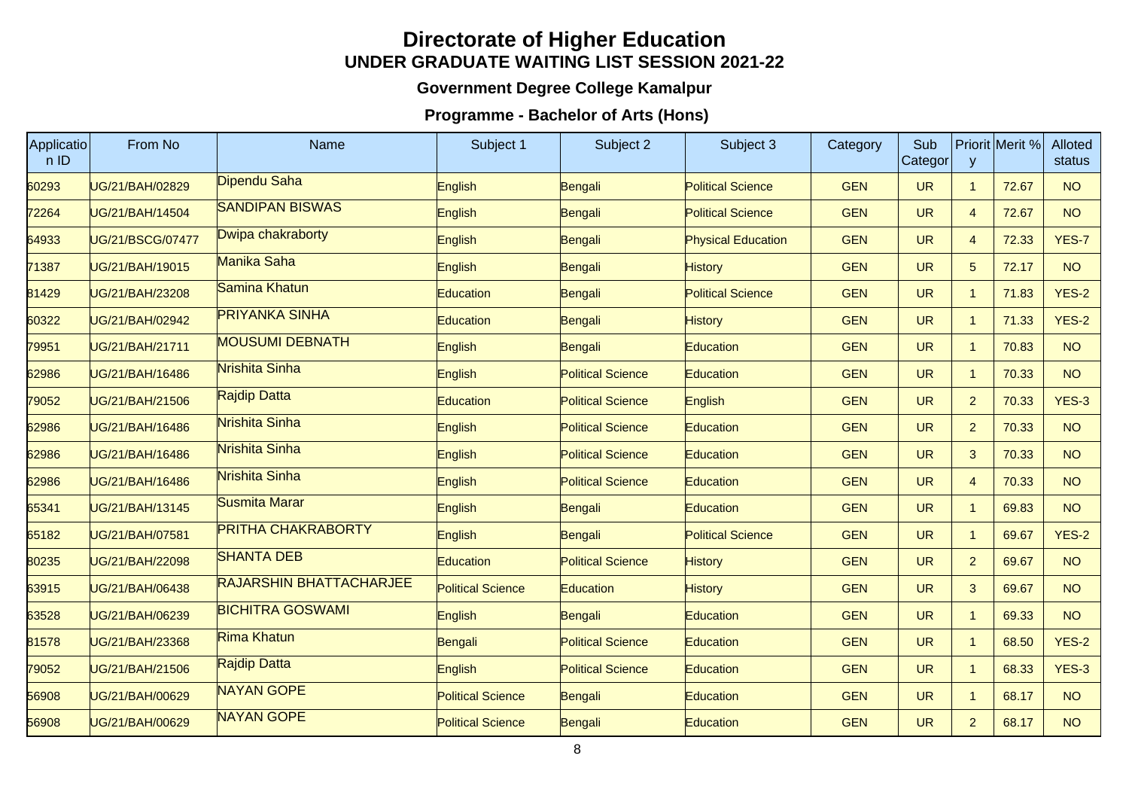## **Directorate of Higher EducationUNDER GRADUATE WAITING LIST SESSION 2021-22**

## **Government Degree College Kamalpur**

## **Programme - Bachelor of Arts (Hons)**

| Applicatio<br>nID | From No          | Name                           | Subject 1                | Subject 2                | Subject 3                 | Category   | Sub<br>Categor | <b>V</b>       | Priorit Merit % | <b>Alloted</b><br>status |
|-------------------|------------------|--------------------------------|--------------------------|--------------------------|---------------------------|------------|----------------|----------------|-----------------|--------------------------|
| 60293             | UG/21/BAH/02829  | Dipendu Saha                   | English                  | Bengali                  | <b>Political Science</b>  | <b>GEN</b> | <b>UR</b>      | $\mathbf{1}$   | 72.67           | <b>NO</b>                |
| 72264             | UG/21/BAH/14504  | <b>SANDIPAN BISWAS</b>         | English                  | Bengali                  | <b>Political Science</b>  | <b>GEN</b> | <b>UR</b>      | $\overline{4}$ | 72.67           | <b>NO</b>                |
| 64933             | UG/21/BSCG/07477 | Dwipa chakraborty              | English                  | Bengali                  | <b>Physical Education</b> | <b>GEN</b> | <b>UR</b>      | $\overline{4}$ | 72.33           | YES-7                    |
| 71387             | UG/21/BAH/19015  | Manika Saha                    | English                  | Bengali                  | <b>History</b>            | <b>GEN</b> | <b>UR</b>      | 5 <sup>5</sup> | 72.17           | <b>NO</b>                |
| 81429             | UG/21/BAH/23208  | Samina Khatun                  | Education                | Bengali                  | <b>Political Science</b>  | <b>GEN</b> | <b>UR</b>      | $\mathbf{1}$   | 71.83           | <b>YES-2</b>             |
| 60322             | UG/21/BAH/02942  | <b>PRIYANKA SINHA</b>          | <b>Education</b>         | Bengali                  | <b>History</b>            | <b>GEN</b> | <b>UR</b>      | $\mathbf{1}$   | 71.33           | <b>YES-2</b>             |
| 79951             | UG/21/BAH/21711  | <b>MOUSUMI DEBNATH</b>         | English                  | Bengali                  | Education                 | <b>GEN</b> | <b>UR</b>      | $\mathbf{1}$   | 70.83           | <b>NO</b>                |
| 62986             | UG/21/BAH/16486  | Nrishita Sinha                 | English                  | <b>Political Science</b> | Education                 | <b>GEN</b> | <b>UR</b>      | $\mathbf{1}$   | 70.33           | <b>NO</b>                |
| 79052             | UG/21/BAH/21506  | Rajdip Datta                   | <b>Education</b>         | <b>Political Science</b> | English                   | <b>GEN</b> | <b>UR</b>      | $\overline{2}$ | 70.33           | $YES-3$                  |
| 62986             | UG/21/BAH/16486  | Nrishita Sinha                 | English                  | <b>Political Science</b> | Education                 | <b>GEN</b> | <b>UR</b>      | $\overline{2}$ | 70.33           | <b>NO</b>                |
| 62986             | UG/21/BAH/16486  | Nrishita Sinha                 | English                  | <b>Political Science</b> | Education                 | <b>GEN</b> | <b>UR</b>      | $\mathbf{3}$   | 70.33           | <b>NO</b>                |
| 62986             | UG/21/BAH/16486  | Nrishita Sinha                 | English                  | <b>Political Science</b> | Education                 | <b>GEN</b> | <b>UR</b>      | $\overline{4}$ | 70.33           | <b>NO</b>                |
| 65341             | UG/21/BAH/13145  | Susmita Marar                  | English                  | Bengali                  | Education                 | <b>GEN</b> | <b>UR</b>      | $\mathbf{1}$   | 69.83           | <b>NO</b>                |
| 65182             | UG/21/BAH/07581  | <b>PRITHA CHAKRABORTY</b>      | English                  | Bengali                  | <b>Political Science</b>  | <b>GEN</b> | <b>UR</b>      | $\overline{1}$ | 69.67           | <b>YES-2</b>             |
| 80235             | UG/21/BAH/22098  | <b>SHANTA DEB</b>              | Education                | <b>Political Science</b> | <b>History</b>            | <b>GEN</b> | <b>UR</b>      | $\overline{2}$ | 69.67           | <b>NO</b>                |
| 63915             | UG/21/BAH/06438  | <b>RAJARSHIN BHATTACHARJEE</b> | <b>Political Science</b> | Education                | <b>History</b>            | <b>GEN</b> | <b>UR</b>      | $\mathbf{3}$   | 69.67           | <b>NO</b>                |
| 63528             | UG/21/BAH/06239  | <b>BICHITRA GOSWAMI</b>        | English                  | Bengali                  | Education                 | <b>GEN</b> | <b>UR</b>      | $\mathbf{1}$   | 69.33           | <b>NO</b>                |
| 81578             | UG/21/BAH/23368  | <b>Rima Khatun</b>             | Bengali                  | <b>Political Science</b> | Education                 | <b>GEN</b> | <b>UR</b>      | $\overline{1}$ | 68.50           | <b>YES-2</b>             |
| 79052             | UG/21/BAH/21506  | <b>Rajdip Datta</b>            | English                  | <b>Political Science</b> | Education                 | <b>GEN</b> | <b>UR</b>      | $\overline{1}$ | 68.33           | $YES-3$                  |
| 56908             | UG/21/BAH/00629  | <b>NAYAN GOPE</b>              | <b>Political Science</b> | Bengali                  | Education                 | <b>GEN</b> | <b>UR</b>      | $\overline{1}$ | 68.17           | <b>NO</b>                |
| 56908             | UG/21/BAH/00629  | <b>NAYAN GOPE</b>              | <b>Political Science</b> | Bengali                  | Education                 | <b>GEN</b> | <b>UR</b>      | $\overline{2}$ | 68.17           | <b>NO</b>                |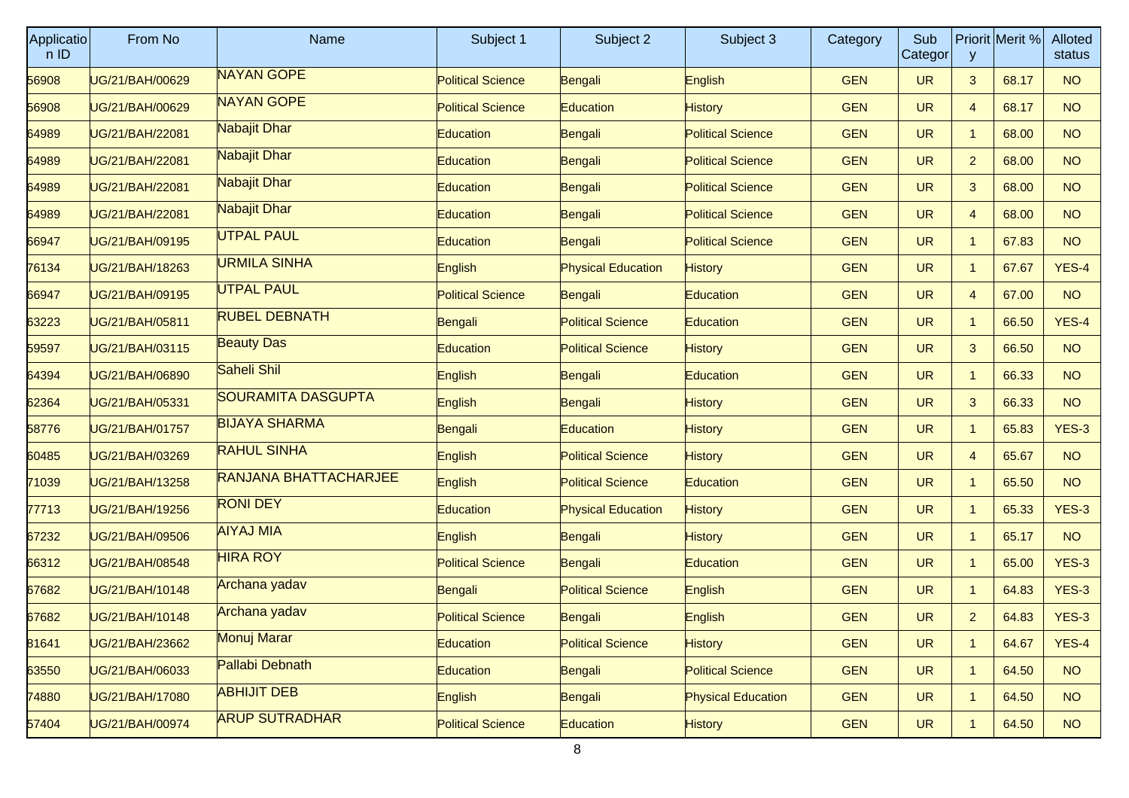| <b>Applicatio</b><br>n ID | From No         | <b>Name</b>                  | Subject 1                | Subject 2                 | Subject 3                 | Category   | Sub<br>Categor | y              | Priorit Merit % | Alloted<br>status |
|---------------------------|-----------------|------------------------------|--------------------------|---------------------------|---------------------------|------------|----------------|----------------|-----------------|-------------------|
| 56908                     | UG/21/BAH/00629 | <b>NAYAN GOPE</b>            | <b>Political Science</b> | Bengali                   | English                   | <b>GEN</b> | <b>UR</b>      | 3              | 68.17           | <b>NO</b>         |
| 56908                     | UG/21/BAH/00629 | <b>NAYAN GOPE</b>            | <b>Political Science</b> | Education                 | <b>History</b>            | <b>GEN</b> | <b>UR</b>      | 4              | 68.17           | <b>NO</b>         |
| 64989                     | UG/21/BAH/22081 | Nabajit Dhar                 | Education                | Bengali                   | <b>Political Science</b>  | <b>GEN</b> | <b>UR</b>      | $\mathbf{1}$   | 68.00           | NO                |
| 64989                     | UG/21/BAH/22081 | Nabajit Dhar                 | <b>Education</b>         | Bengali                   | <b>Political Science</b>  | <b>GEN</b> | <b>UR</b>      | $\overline{2}$ | 68.00           | <b>NO</b>         |
| 64989                     | UG/21/BAH/22081 | Nabajit Dhar                 | <b>Education</b>         | Bengali                   | <b>Political Science</b>  | <b>GEN</b> | <b>UR</b>      | 3              | 68.00           | <b>NO</b>         |
| 64989                     | UG/21/BAH/22081 | Nabajit Dhar                 | Education                | Bengali                   | <b>Political Science</b>  | <b>GEN</b> | <b>UR</b>      | 4              | 68.00           | NO <sub>1</sub>   |
| 66947                     | UG/21/BAH/09195 | <b>UTPAL PAUL</b>            | Education                | Bengali                   | <b>Political Science</b>  | <b>GEN</b> | <b>UR</b>      | $\mathbf{1}$   | 67.83           | <b>NO</b>         |
| 76134                     | UG/21/BAH/18263 | <b>URMILA SINHA</b>          | English                  | <b>Physical Education</b> | <b>History</b>            | <b>GEN</b> | <b>UR</b>      | $\mathbf{1}$   | 67.67           | YES-4             |
| 66947                     | UG/21/BAH/09195 | <b>UTPAL PAUL</b>            | <b>Political Science</b> | Bengali                   | Education                 | <b>GEN</b> | <b>UR</b>      | 4              | 67.00           | <b>NO</b>         |
| 63223                     | UG/21/BAH/05811 | <b>RUBEL DEBNATH</b>         | Bengali                  | <b>Political Science</b>  | Education                 | <b>GEN</b> | <b>UR</b>      | $\mathbf{1}$   | 66.50           | YES-4             |
| 59597                     | UG/21/BAH/03115 | <b>Beauty Das</b>            | <b>Education</b>         | <b>Political Science</b>  | <b>History</b>            | <b>GEN</b> | <b>UR</b>      | 3              | 66.50           | <b>NO</b>         |
| 64394                     | UG/21/BAH/06890 | Saheli Shil                  | English                  | Bengali                   | Education                 | <b>GEN</b> | <b>UR</b>      | $\mathbf{1}$   | 66.33           | NO                |
| 62364                     | UG/21/BAH/05331 | <b>SOURAMITA DASGUPTA</b>    | English                  | Bengali                   | <b>History</b>            | <b>GEN</b> | <b>UR</b>      | 3              | 66.33           | <b>NO</b>         |
| 58776                     | UG/21/BAH/01757 | <b>BIJAYA SHARMA</b>         | Bengali                  | Education                 | <b>History</b>            | <b>GEN</b> | <b>UR</b>      | $\mathbf{1}$   | 65.83           | $YES-3$           |
| 60485                     | UG/21/BAH/03269 | <b>RAHUL SINHA</b>           | English                  | <b>Political Science</b>  | <b>History</b>            | <b>GEN</b> | <b>UR</b>      | 4              | 65.67           | NO                |
| 71039                     | UG/21/BAH/13258 | <b>RANJANA BHATTACHARJEE</b> | English                  | <b>Political Science</b>  | Education                 | <b>GEN</b> | <b>UR</b>      | $\mathbf{1}$   | 65.50           | <b>NO</b>         |
| 77713                     | UG/21/BAH/19256 | <b>RONI DEY</b>              | <b>Education</b>         | <b>Physical Education</b> | <b>History</b>            | <b>GEN</b> | <b>UR</b>      | $\mathbf{1}$   | 65.33           | $YES-3$           |
| 67232                     | UG/21/BAH/09506 | <b>AIYAJ MIA</b>             | English                  | Bengali                   | <b>History</b>            | <b>GEN</b> | <b>UR</b>      | $\mathbf{1}$   | 65.17           | NO                |
| 66312                     | UG/21/BAH/08548 | <b>HIRA ROY</b>              | <b>Political Science</b> | Bengali                   | <b>Education</b>          | <b>GEN</b> | <b>UR</b>      | $\mathbf{1}$   | 65.00           | $YES-3$           |
| 67682                     | UG/21/BAH/10148 | Archana yadav                | Bengali                  | <b>Political Science</b>  | English                   | <b>GEN</b> | <b>UR</b>      | $\mathbf{1}$   | 64.83           | $YES-3$           |
| 67682                     | UG/21/BAH/10148 | Archana yadav                | <b>Political Science</b> | Bengali                   | English                   | <b>GEN</b> | <b>UR</b>      | $\overline{2}$ | 64.83           | $YES-3$           |
| 81641                     | UG/21/BAH/23662 | Monuj Marar                  | Education                | <b>Political Science</b>  | <b>History</b>            | <b>GEN</b> | <b>UR</b>      | $\mathbf{1}$   | 64.67           | YES-4             |
| 63550                     | UG/21/BAH/06033 | Pallabi Debnath              | Education                | Bengali                   | <b>Political Science</b>  | <b>GEN</b> | <b>UR</b>      | $\mathbf{1}$   | 64.50           | <b>NO</b>         |
| 74880                     | UG/21/BAH/17080 | <b>ABHIJIT DEB</b>           | English                  | Bengali                   | <b>Physical Education</b> | <b>GEN</b> | <b>UR</b>      | $\mathbf{1}$   | 64.50           | NO                |
| 57404                     | UG/21/BAH/00974 | <b>ARUP SUTRADHAR</b>        | <b>Political Science</b> | Education                 | <b>History</b>            | <b>GEN</b> | <b>UR</b>      | $\mathbf{1}$   | 64.50           | NO                |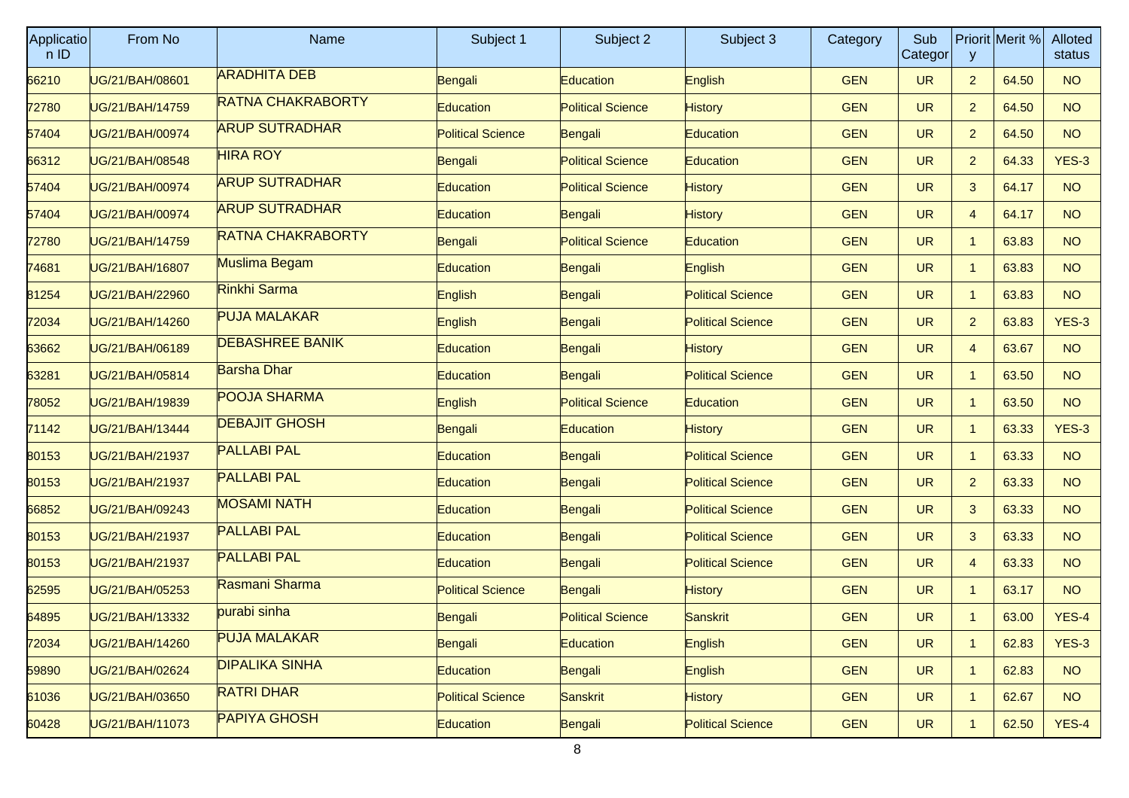| Applicatio<br>n ID | From No         | <b>Name</b>              | Subject 1                | Subject 2                | Subject 3                | Category   | Sub<br>Categor | y              | Priorit Merit % | Alloted<br>status |
|--------------------|-----------------|--------------------------|--------------------------|--------------------------|--------------------------|------------|----------------|----------------|-----------------|-------------------|
| 66210              | UG/21/BAH/08601 | <b>ARADHITA DEB</b>      | Bengali                  | Education                | English                  | <b>GEN</b> | <b>UR</b>      | $\overline{2}$ | 64.50           | <b>NO</b>         |
| 72780              | UG/21/BAH/14759 | <b>RATNA CHAKRABORTY</b> | <b>Education</b>         | <b>Political Science</b> | <b>History</b>           | <b>GEN</b> | <b>UR</b>      | $\overline{2}$ | 64.50           | <b>NO</b>         |
| 57404              | UG/21/BAH/00974 | <b>ARUP SUTRADHAR</b>    | <b>Political Science</b> | Bengali                  | Education                | <b>GEN</b> | <b>UR</b>      | $\mathbf{2}$   | 64.50           | NO                |
| 66312              | UG/21/BAH/08548 | <b>HIRA ROY</b>          | Bengali                  | <b>Political Science</b> | Education                | <b>GEN</b> | <b>UR</b>      | $\overline{2}$ | 64.33           | $YES-3$           |
| 57404              | UG/21/BAH/00974 | <b>ARUP SUTRADHAR</b>    | Education                | <b>Political Science</b> | <b>History</b>           | <b>GEN</b> | <b>UR</b>      | 3              | 64.17           | <b>NO</b>         |
| 57404              | UG/21/BAH/00974 | <b>ARUP SUTRADHAR</b>    | <b>Education</b>         | Bengali                  | <b>History</b>           | <b>GEN</b> | <b>UR</b>      | 4              | 64.17           | NO <sub>1</sub>   |
| 72780              | UG/21/BAH/14759 | <b>RATNA CHAKRABORTY</b> | Bengali                  | <b>Political Science</b> | Education                | <b>GEN</b> | <b>UR</b>      | $\mathbf{1}$   | 63.83           | <b>NO</b>         |
| 74681              | UG/21/BAH/16807 | Muslima Begam            | Education                | Bengali                  | English                  | <b>GEN</b> | <b>UR</b>      | $\mathbf{1}$   | 63.83           | <b>NO</b>         |
| 81254              | UG/21/BAH/22960 | Rinkhi Sarma             | English                  | Bengali                  | <b>Political Science</b> | <b>GEN</b> | <b>UR</b>      | $\mathbf{1}$   | 63.83           | NO                |
| 72034              | UG/21/BAH/14260 | <b>PUJA MALAKAR</b>      | English                  | Bengali                  | <b>Political Science</b> | <b>GEN</b> | <b>UR</b>      | $\overline{2}$ | 63.83           | $YES-3$           |
| 63662              | UG/21/BAH/06189 | <b>DEBASHREE BANIK</b>   | <b>Education</b>         | Bengali                  | History                  | <b>GEN</b> | <b>UR</b>      | 4              | 63.67           | <b>NO</b>         |
| 63281              | UG/21/BAH/05814 | <b>Barsha Dhar</b>       | Education                | Bengali                  | <b>Political Science</b> | <b>GEN</b> | <b>UR</b>      | $\mathbf{1}$   | 63.50           | NO <sub>1</sub>   |
| 78052              | UG/21/BAH/19839 | <b>POOJA SHARMA</b>      | English                  | <b>Political Science</b> | Education                | <b>GEN</b> | <b>UR</b>      | $\mathbf{1}$   | 63.50           | <b>NO</b>         |
| 71142              | UG/21/BAH/13444 | <b>DEBAJIT GHOSH</b>     | Bengali                  | Education                | <b>History</b>           | <b>GEN</b> | <b>UR</b>      | $\mathbf{1}$   | 63.33           | $YES-3$           |
| 80153              | UG/21/BAH/21937 | <b>PALLABI PAL</b>       | Education                | Bengali                  | <b>Political Science</b> | <b>GEN</b> | <b>UR</b>      | $\mathbf{1}$   | 63.33           | NO                |
| 80153              | UG/21/BAH/21937 | <b>PALLABI PAL</b>       | Education                | Bengali                  | <b>Political Science</b> | <b>GEN</b> | <b>UR</b>      | $\overline{2}$ | 63.33           | <b>NO</b>         |
| 66852              | UG/21/BAH/09243 | <b>MOSAMI NATH</b>       | <b>Education</b>         | Bengali                  | <b>Political Science</b> | <b>GEN</b> | <b>UR</b>      | 3              | 63.33           | <b>NO</b>         |
| 80153              | UG/21/BAH/21937 | <b>PALLABI PAL</b>       | Education                | Bengali                  | <b>Political Science</b> | <b>GEN</b> | <b>UR</b>      | 3              | 63.33           | NO                |
| 80153              | UG/21/BAH/21937 | <b>PALLABI PAL</b>       | <b>Education</b>         | Bengali                  | <b>Political Science</b> | <b>GEN</b> | <b>UR</b>      | $\overline{4}$ | 63.33           | <b>NO</b>         |
| 62595              | UG/21/BAH/05253 | Rasmani Sharma           | <b>Political Science</b> | Bengali                  | <b>History</b>           | <b>GEN</b> | <b>UR</b>      | $\mathbf{1}$   | 63.17           | <b>NO</b>         |
| 64895              | UG/21/BAH/13332 | purabi sinha             | Bengali                  | <b>Political Science</b> | Sanskrit                 | <b>GEN</b> | <b>UR</b>      | 1              | 63.00           | YES-4             |
| 72034              | UG/21/BAH/14260 | <b>PUJA MALAKAR</b>      | Bengali                  | Education                | English                  | <b>GEN</b> | <b>UR</b>      | $\mathbf{1}$   | 62.83           | $YES-3$           |
| 59890              | UG/21/BAH/02624 | <b>DIPALIKA SINHA</b>    | Education                | Bengali                  | English                  | <b>GEN</b> | <b>UR</b>      | $\mathbf{1}$   | 62.83           | <b>NO</b>         |
| 61036              | UG/21/BAH/03650 | <b>RATRI DHAR</b>        | <b>Political Science</b> | Sanskrit                 | <b>History</b>           | <b>GEN</b> | <b>UR</b>      | $\mathbf{1}$   | 62.67           | NO                |
| 60428              | UG/21/BAH/11073 | <b>PAPIYA GHOSH</b>      | Education                | Bengali                  | <b>Political Science</b> | <b>GEN</b> | <b>UR</b>      | $\mathbf{1}$   | 62.50           | YES-4             |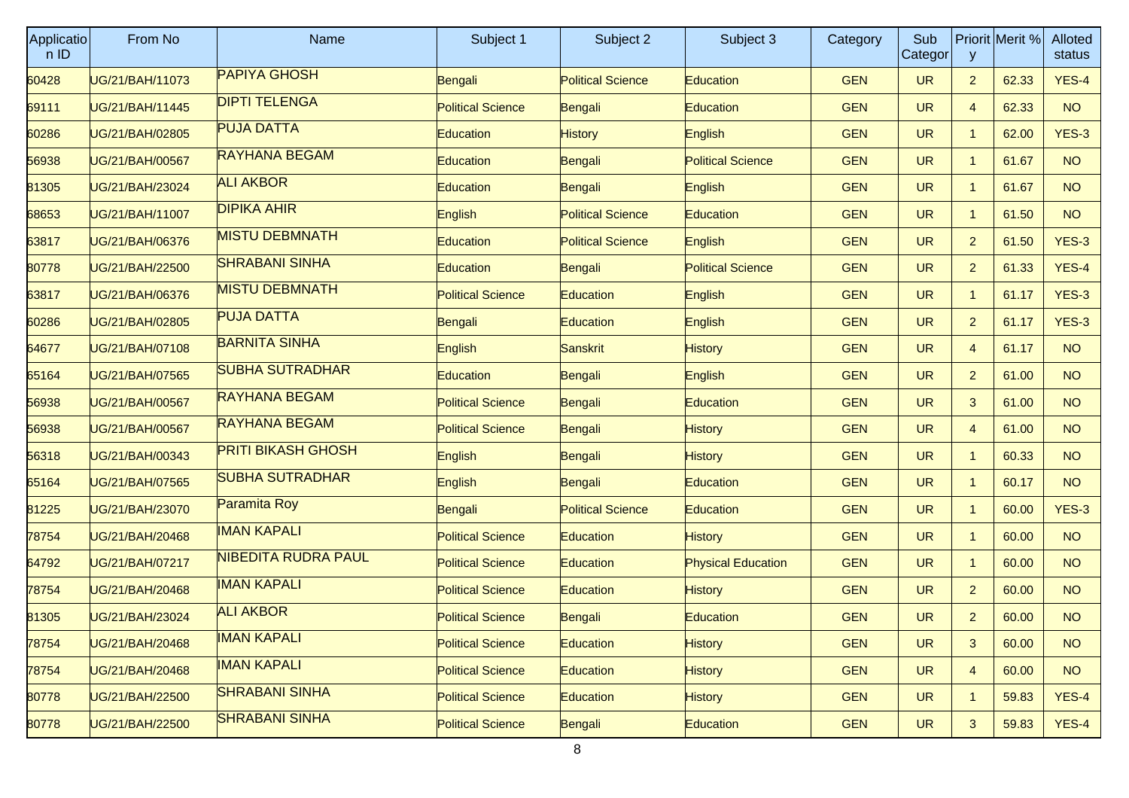| <b>Applicatio</b><br>n ID | From No         | <b>Name</b>                | Subject 1                | Subject 2                | Subject 3                 | Category   | Sub<br>Categor | y              | Priorit Merit % | <b>Alloted</b><br>status |
|---------------------------|-----------------|----------------------------|--------------------------|--------------------------|---------------------------|------------|----------------|----------------|-----------------|--------------------------|
| 60428                     | UG/21/BAH/11073 | <b>PAPIYA GHOSH</b>        | Bengali                  | <b>Political Science</b> | Education                 | <b>GEN</b> | <b>UR</b>      | 2 <sup>2</sup> | 62.33           | YES-4                    |
| 69111                     | UG/21/BAH/11445 | <b>DIPTI TELENGA</b>       | <b>Political Science</b> | Bengali                  | <b>Education</b>          | <b>GEN</b> | <b>UR</b>      | $\overline{4}$ | 62.33           | <b>NO</b>                |
| 60286                     | UG/21/BAH/02805 | <b>PUJA DATTA</b>          | <b>Education</b>         | <b>History</b>           | English                   | <b>GEN</b> | <b>UR</b>      | $\mathbf{1}$   | 62.00           | $YES-3$                  |
| 56938                     | UG/21/BAH/00567 | <b>RAYHANA BEGAM</b>       | <b>Education</b>         | Bengali                  | <b>Political Science</b>  | <b>GEN</b> | <b>UR</b>      | -1             | 61.67           | <b>NO</b>                |
| 81305                     | UG/21/BAH/23024 | <b>ALI AKBOR</b>           | <b>Education</b>         | Bengali                  | English                   | <b>GEN</b> | <b>UR</b>      | -1             | 61.67           | <b>NO</b>                |
| 68653                     | UG/21/BAH/11007 | <b>DIPIKA AHIR</b>         | English                  | <b>Political Science</b> | Education                 | <b>GEN</b> | <b>UR</b>      | $\mathbf 1$    | 61.50           | NO                       |
| 63817                     | UG/21/BAH/06376 | <b>MISTU DEBMNATH</b>      | <b>Education</b>         | <b>Political Science</b> | English                   | <b>GEN</b> | <b>UR</b>      | $\overline{2}$ | 61.50           | $YES-3$                  |
| 80778                     | UG/21/BAH/22500 | <b>SHRABANI SINHA</b>      | <b>Education</b>         | Bengali                  | <b>Political Science</b>  | <b>GEN</b> | <b>UR</b>      | $\overline{2}$ | 61.33           | YES-4                    |
| 63817                     | UG/21/BAH/06376 | <b>MISTU DEBMNATH</b>      | <b>Political Science</b> | Education                | English                   | <b>GEN</b> | <b>UR</b>      | $\mathbf 1$    | 61.17           | $YES-3$                  |
| 60286                     | UG/21/BAH/02805 | <b>PUJA DATTA</b>          | Bengali                  | <b>Education</b>         | English                   | <b>GEN</b> | <b>UR</b>      | $\overline{2}$ | 61.17           | YES-3                    |
| 64677                     | UG/21/BAH/07108 | <b>BARNITA SINHA</b>       | <b>English</b>           | Sanskrit                 | <b>History</b>            | <b>GEN</b> | <b>UR</b>      | $\overline{4}$ | 61.17           | <b>NO</b>                |
| 65164                     | UG/21/BAH/07565 | <b>SUBHA SUTRADHAR</b>     | <b>Education</b>         | Bengali                  | English                   | <b>GEN</b> | <b>UR</b>      | 2              | 61.00           | NO                       |
| 56938                     | UG/21/BAH/00567 | <b>RAYHANA BEGAM</b>       | <b>Political Science</b> | Bengali                  | <b>Education</b>          | <b>GEN</b> | <b>UR</b>      | 3              | 61.00           | <b>NO</b>                |
| 56938                     | UG/21/BAH/00567 | <b>RAYHANA BEGAM</b>       | <b>Political Science</b> | Bengali                  | <b>History</b>            | <b>GEN</b> | <b>UR</b>      | $\overline{4}$ | 61.00           | NO                       |
| 56318                     | UG/21/BAH/00343 | <b>PRITI BIKASH GHOSH</b>  | English                  | Bengali                  | <b>History</b>            | <b>GEN</b> | <b>UR</b>      | $\mathbf 1$    | 60.33           | NO                       |
| 65164                     | UG/21/BAH/07565 | <b>SUBHA SUTRADHAR</b>     | <b>English</b>           | Bengali                  | <b>Education</b>          | <b>GEN</b> | <b>UR</b>      |                | 60.17           | <b>NO</b>                |
| 81225                     | UG/21/BAH/23070 | Paramita Roy               | Bengali                  | <b>Political Science</b> | <b>Education</b>          | <b>GEN</b> | <b>UR</b>      | -1             | 60.00           | $YES-3$                  |
| 78754                     | UG/21/BAH/20468 | <b>IMAN KAPALI</b>         | <b>Political Science</b> | Education                | <b>History</b>            | <b>GEN</b> | <b>UR</b>      | $\mathbf 1$    | 60.00           | NO                       |
| 64792                     | UG/21/BAH/07217 | <b>NIBEDITA RUDRA PAUL</b> | <b>Political Science</b> | <b>Education</b>         | <b>Physical Education</b> | <b>GEN</b> | <b>UR</b>      |                | 60.00           | <b>NO</b>                |
| 78754                     | UG/21/BAH/20468 | <b>IMAN KAPALI</b>         | <b>Political Science</b> | Education                | History                   | <b>GEN</b> | <b>UR</b>      | $\overline{2}$ | 60.00           | <b>NO</b>                |
| 81305                     | UG/21/BAH/23024 | <b>ALI AKBOR</b>           | <b>Political Science</b> | Bengali                  | Education                 | <b>GEN</b> | <b>UR</b>      | $\overline{2}$ | 60.00           | NO                       |
| 78754                     | UG/21/BAH/20468 | <b>IMAN KAPALI</b>         | <b>Political Science</b> | Education                | <b>History</b>            | <b>GEN</b> | <b>UR</b>      | 3              | 60.00           | <b>NO</b>                |
| 78754                     | UG/21/BAH/20468 | <b>IMAN KAPALI</b>         | <b>Political Science</b> | <b>Education</b>         | <b>History</b>            | <b>GEN</b> | <b>UR</b>      | $\overline{4}$ | 60.00           | <b>NO</b>                |
| 80778                     | UG/21/BAH/22500 | <b>SHRABANI SINHA</b>      | <b>Political Science</b> | <b>Education</b>         | <b>History</b>            | <b>GEN</b> | <b>UR</b>      | $\mathbf{1}$   | 59.83           | YES-4                    |
| 80778                     | UG/21/BAH/22500 | <b>SHRABANI SINHA</b>      | <b>Political Science</b> | Bengali                  | Education                 | <b>GEN</b> | <b>UR</b>      | 3              | 59.83           | YES-4                    |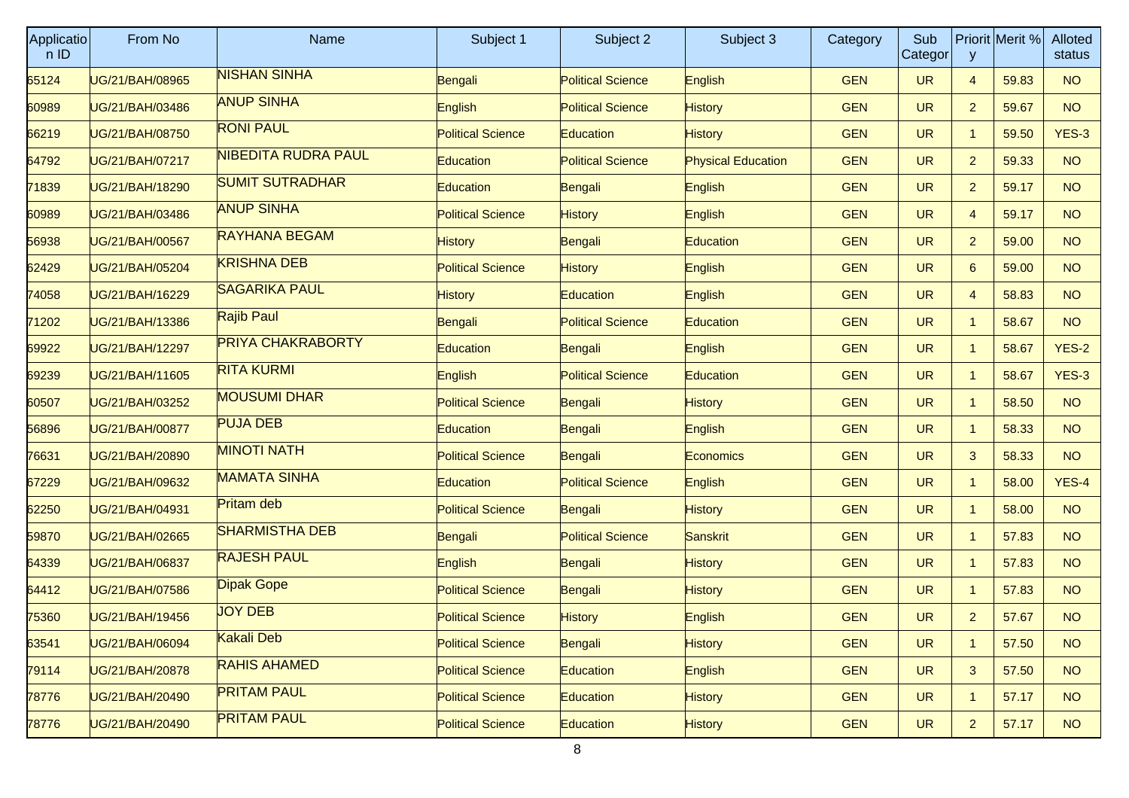| <b>Applicatio</b><br>n ID | From No         | <b>Name</b>              | Subject 1                | Subject 2                | Subject 3                 | Category   | Sub<br>Categor | y              | Priorit Merit % | Alloted<br>status |
|---------------------------|-----------------|--------------------------|--------------------------|--------------------------|---------------------------|------------|----------------|----------------|-----------------|-------------------|
| 65124                     | UG/21/BAH/08965 | <b>NISHAN SINHA</b>      | Bengali                  | <b>Political Science</b> | English                   | <b>GEN</b> | <b>UR</b>      | $\overline{4}$ | 59.83           | <b>NO</b>         |
| 60989                     | UG/21/BAH/03486 | <b>ANUP SINHA</b>        | English                  | <b>Political Science</b> | <b>History</b>            | <b>GEN</b> | <b>UR</b>      | $\overline{2}$ | 59.67           | <b>NO</b>         |
| 66219                     | UG/21/BAH/08750 | <b>RONI PAUL</b>         | <b>Political Science</b> | Education                | <b>History</b>            | <b>GEN</b> | <b>UR</b>      | $\mathbf{1}$   | 59.50           | $YES-3$           |
| 64792                     | UG/21/BAH/07217 | NIBEDITA RUDRA PAUL      | Education                | <b>Political Science</b> | <b>Physical Education</b> | <b>GEN</b> | <b>UR</b>      | $\overline{2}$ | 59.33           | <b>NO</b>         |
| 71839                     | UG/21/BAH/18290 | <b>SUMIT SUTRADHAR</b>   | <b>Education</b>         | Bengali                  | English                   | <b>GEN</b> | <b>UR</b>      | $\overline{2}$ | 59.17           | <b>NO</b>         |
| 60989                     | UG/21/BAH/03486 | <b>ANUP SINHA</b>        | <b>Political Science</b> | <b>History</b>           | English                   | <b>GEN</b> | <b>UR</b>      | 4              | 59.17           | NO                |
| 56938                     | UG/21/BAH/00567 | <b>RAYHANA BEGAM</b>     | <b>History</b>           | Bengali                  | <b>Education</b>          | <b>GEN</b> | <b>UR</b>      | $\overline{2}$ | 59.00           | <b>NO</b>         |
| 62429                     | UG/21/BAH/05204 | <b>KRISHNA DEB</b>       | <b>Political Science</b> | <b>History</b>           | English                   | <b>GEN</b> | <b>UR</b>      | 6              | 59.00           | <b>NO</b>         |
| 74058                     | UG/21/BAH/16229 | <b>SAGARIKA PAUL</b>     | <b>History</b>           | Education                | English                   | <b>GEN</b> | <b>UR</b>      | 4              | 58.83           | NO <sub>1</sub>   |
| 71202                     | UG/21/BAH/13386 | <b>Rajib Paul</b>        | Bengali                  | <b>Political Science</b> | Education                 | <b>GEN</b> | <b>UR</b>      | $\mathbf{1}$   | 58.67           | <b>NO</b>         |
| 69922                     | UG/21/BAH/12297 | <b>PRIYA CHAKRABORTY</b> | <b>Education</b>         | Bengali                  | English                   | <b>GEN</b> | <b>UR</b>      | $\mathbf{1}$   | 58.67           | $YES-2$           |
| 69239                     | UG/21/BAH/11605 | <b>RITA KURMI</b>        | English                  | <b>Political Science</b> | Education                 | <b>GEN</b> | <b>UR</b>      | $\mathbf{1}$   | 58.67           | $YES-3$           |
| 60507                     | UG/21/BAH/03252 | <b>MOUSUMI DHAR</b>      | <b>Political Science</b> | Bengali                  | <b>History</b>            | <b>GEN</b> | <b>UR</b>      | $\mathbf{1}$   | 58.50           | <b>NO</b>         |
| 56896                     | UG/21/BAH/00877 | <b>PUJA DEB</b>          | <b>Education</b>         | Bengali                  | English                   | <b>GEN</b> | <b>UR</b>      | $\mathbf{1}$   | 58.33           | <b>NO</b>         |
| 76631                     | UG/21/BAH/20890 | <b>MINOTI NATH</b>       | <b>Political Science</b> | Bengali                  | <b>Economics</b>          | <b>GEN</b> | <b>UR</b>      | 3              | 58.33           | NO                |
| 67229                     | UG/21/BAH/09632 | <b>MAMATA SINHA</b>      | <b>Education</b>         | <b>Political Science</b> | English                   | <b>GEN</b> | <b>UR</b>      | $\mathbf{1}$   | 58.00           | YES-4             |
| 62250                     | UG/21/BAH/04931 | Pritam deb               | <b>Political Science</b> | Bengali                  | <b>History</b>            | <b>GEN</b> | <b>UR</b>      | $\mathbf{1}$   | 58.00           | <b>NO</b>         |
| 59870                     | UG/21/BAH/02665 | <b>SHARMISTHA DEB</b>    | Bengali                  | <b>Political Science</b> | Sanskrit                  | <b>GEN</b> | <b>UR</b>      | $\mathbf{1}$   | 57.83           | NO                |
| 64339                     | UG/21/BAH/06837 | <b>RAJESH PAUL</b>       | English                  | Bengali                  | History                   | <b>GEN</b> | <b>UR</b>      | $\mathbf{1}$   | 57.83           | <b>NO</b>         |
| 64412                     | UG/21/BAH/07586 | <b>Dipak Gope</b>        | <b>Political Science</b> | Bengali                  | <b>History</b>            | <b>GEN</b> | <b>UR</b>      | $\mathbf{1}$   | 57.83           | <b>NO</b>         |
| 75360                     | UG/21/BAH/19456 | <b>JOY DEB</b>           | <b>Political Science</b> | <b>History</b>           | English                   | <b>GEN</b> | <b>UR</b>      | $\overline{2}$ | 57.67           | NO <sub>1</sub>   |
| 63541                     | UG/21/BAH/06094 | Kakali Deb               | <b>Political Science</b> | Bengali                  | <b>History</b>            | <b>GEN</b> | <b>UR</b>      | $\mathbf{1}$   | 57.50           | <b>NO</b>         |
| 79114                     | UG/21/BAH/20878 | <b>RAHIS AHAMED</b>      | <b>Political Science</b> | Education                | English                   | <b>GEN</b> | <b>UR</b>      | $\mathbf{3}$   | 57.50           | <b>NO</b>         |
| 78776                     | UG/21/BAH/20490 | <b>PRITAM PAUL</b>       | <b>Political Science</b> | Education                | <b>History</b>            | <b>GEN</b> | <b>UR</b>      | $\mathbf{1}$   | 57.17           | NO                |
| 78776                     | UG/21/BAH/20490 | <b>PRITAM PAUL</b>       | <b>Political Science</b> | Education                | <b>History</b>            | <b>GEN</b> | <b>UR</b>      | $\overline{2}$ | 57.17           | NO                |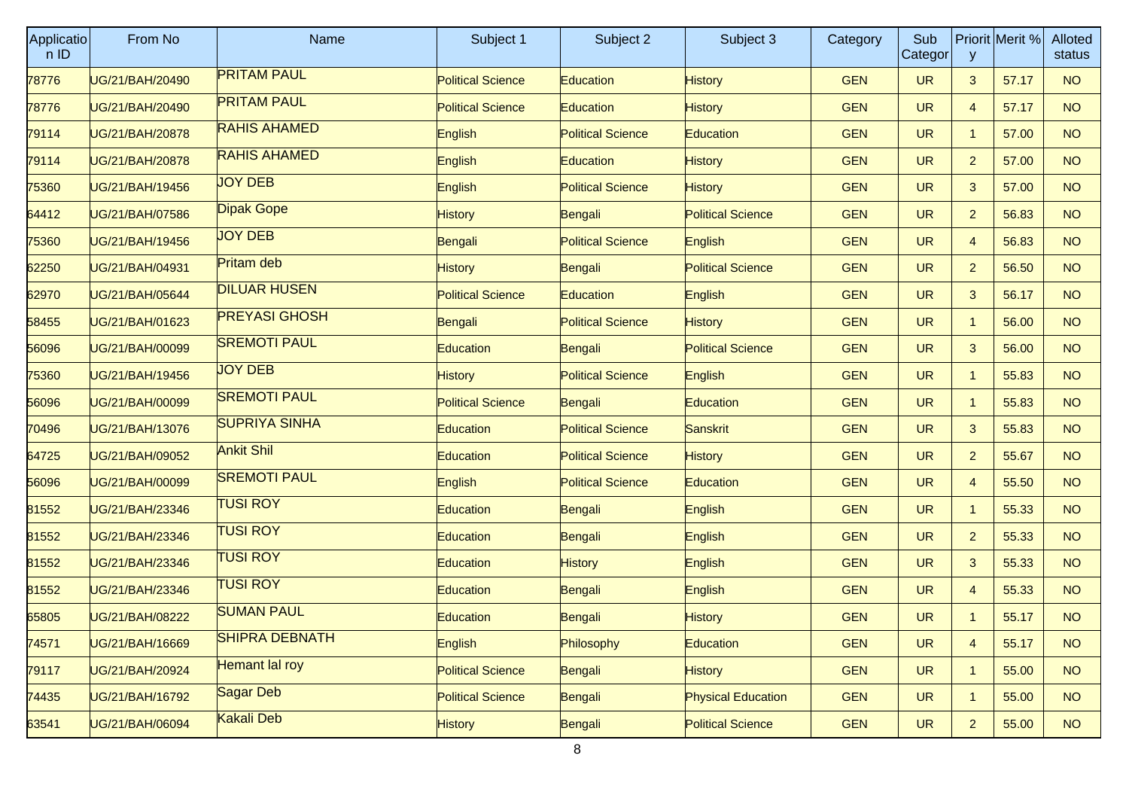| Applicatio<br>nID | From No         | <b>Name</b>           | Subject 1                | Subject 2                | Subject 3                 | Category   | Sub<br>Categor | y              | Priorit Merit % | Alloted<br>status |
|-------------------|-----------------|-----------------------|--------------------------|--------------------------|---------------------------|------------|----------------|----------------|-----------------|-------------------|
| 78776             | UG/21/BAH/20490 | <b>PRITAM PAUL</b>    | <b>Political Science</b> | <b>Education</b>         | <b>History</b>            | <b>GEN</b> | <b>UR</b>      | 3              | 57.17           | <b>NO</b>         |
| 78776             | JG/21/BAH/20490 | <b>PRITAM PAUL</b>    | <b>Political Science</b> | Education                | <b>History</b>            | <b>GEN</b> | <b>UR</b>      | 4              | 57.17           | <b>NO</b>         |
| 79114             | UG/21/BAH/20878 | <b>RAHIS AHAMED</b>   | English                  | <b>Political Science</b> | <b>Education</b>          | <b>GEN</b> | <b>UR</b>      | 1              | 57.00           | <b>NO</b>         |
| 79114             | UG/21/BAH/20878 | <b>RAHIS AHAMED</b>   | English                  | Education                | <b>History</b>            | <b>GEN</b> | <b>UR</b>      | $\overline{2}$ | 57.00           | <b>NO</b>         |
| 75360             | JG/21/BAH/19456 | <b>JOY DEB</b>        | English                  | <b>Political Science</b> | <b>History</b>            | <b>GEN</b> | <b>UR</b>      | 3              | 57.00           | <b>NO</b>         |
| 64412             | UG/21/BAH/07586 | <b>Dipak Gope</b>     | <b>History</b>           | Bengali                  | <b>Political Science</b>  | <b>GEN</b> | <b>UR</b>      | $\overline{2}$ | 56.83           | <b>NO</b>         |
| 75360             | UG/21/BAH/19456 | <b>JOY DEB</b>        | Bengali                  | <b>Political Science</b> | English                   | <b>GEN</b> | <b>UR</b>      | 4              | 56.83           | <b>NO</b>         |
| 62250             | JG/21/BAH/04931 | Pritam deb            | <b>History</b>           | Bengali                  | <b>Political Science</b>  | <b>GEN</b> | <b>UR</b>      | $\overline{2}$ | 56.50           | <b>NO</b>         |
| 62970             | UG/21/BAH/05644 | <b>DILUAR HUSEN</b>   | <b>Political Science</b> | Education                | English                   | <b>GEN</b> | <b>UR</b>      | 3              | 56.17           | <b>NO</b>         |
| 58455             | UG/21/BAH/01623 | <b>PREYASI GHOSH</b>  | Bengali                  | <b>Political Science</b> | <b>History</b>            | <b>GEN</b> | <b>UR</b>      | $\mathbf{1}$   | 56.00           | <b>NO</b>         |
| 56096             | JG/21/BAH/00099 | <b>SREMOTI PAUL</b>   | <b>Education</b>         | Bengali                  | <b>Political Science</b>  | <b>GEN</b> | <b>UR</b>      | 3              | 56.00           | <b>NO</b>         |
| 75360             | UG/21/BAH/19456 | <b>JOY DEB</b>        | <b>History</b>           | <b>Political Science</b> | English                   | <b>GEN</b> | <b>UR</b>      | 1              | 55.83           | <b>NO</b>         |
| 56096             | UG/21/BAH/00099 | <b>SREMOTI PAUL</b>   | <b>Political Science</b> | Bengali                  | Education                 | <b>GEN</b> | <b>UR</b>      | $\mathbf{1}$   | 55.83           | <b>NO</b>         |
| 70496             | JG/21/BAH/13076 | <b>SUPRIYA SINHA</b>  | Education                | <b>Political Science</b> | Sanskrit                  | <b>GEN</b> | <b>UR</b>      | 3              | 55.83           | <b>NO</b>         |
| 64725             | UG/21/BAH/09052 | <b>Ankit Shil</b>     | Education                | <b>Political Science</b> | <b>History</b>            | <b>GEN</b> | <b>UR</b>      | $\overline{2}$ | 55.67           | <b>NO</b>         |
| 56096             | UG/21/BAH/00099 | <b>SREMOTI PAUL</b>   | English                  | <b>Political Science</b> | Education                 | <b>GEN</b> | <b>UR</b>      | 4              | 55.50           | <b>NO</b>         |
| 81552             | JG/21/BAH/23346 | <b>TUSI ROY</b>       | <b>Education</b>         | Bengali                  | English                   | <b>GEN</b> | <b>UR</b>      | $\mathbf{1}$   | 55.33           | <b>NO</b>         |
| 81552             | UG/21/BAH/23346 | <b>TUSI ROY</b>       | Education                | Bengali                  | English                   | <b>GEN</b> | <b>UR</b>      | $\overline{2}$ | 55.33           | <b>NO</b>         |
| 81552             | UG/21/BAH/23346 | <b>TUSI ROY</b>       | Education                | History                  | English                   | <b>GEN</b> | <b>UR</b>      | 3              | 55.33           | <b>NO</b>         |
| 81552             | JG/21/BAH/23346 | <b>TUSI ROY</b>       | <b>Education</b>         | Bengali                  | English                   | <b>GEN</b> | <b>UR</b>      | 4              | 55.33           | <b>NO</b>         |
| 65805             | UG/21/BAH/08222 | <b>SUMAN PAUL</b>     | Education                | Bengali                  | <b>History</b>            | <b>GEN</b> | <b>UR</b>      |                | 55.17           | <b>NO</b>         |
| 74571             | UG/21/BAH/16669 | <b>SHIPRA DEBNATH</b> | English                  | Philosophy               | Education                 | <b>GEN</b> | <b>UR</b>      | $\overline{4}$ | 55.17           | <b>NO</b>         |
| 79117             | UG/21/BAH/20924 | Hemant lal roy        | <b>Political Science</b> | Bengali                  | <b>History</b>            | <b>GEN</b> | <b>UR</b>      | $\mathbf{1}$   | 55.00           | <b>NO</b>         |
| 74435             | UG/21/BAH/16792 | Sagar Deb             | <b>Political Science</b> | Bengali                  | <b>Physical Education</b> | <b>GEN</b> | <b>UR</b>      | $\mathbf{1}$   | 55.00           | <b>NO</b>         |
| 63541             | UG/21/BAH/06094 | Kakali Deb            | <b>History</b>           | Bengali                  | <b>Political Science</b>  | <b>GEN</b> | <b>UR</b>      | $\overline{a}$ | 55.00           | <b>NO</b>         |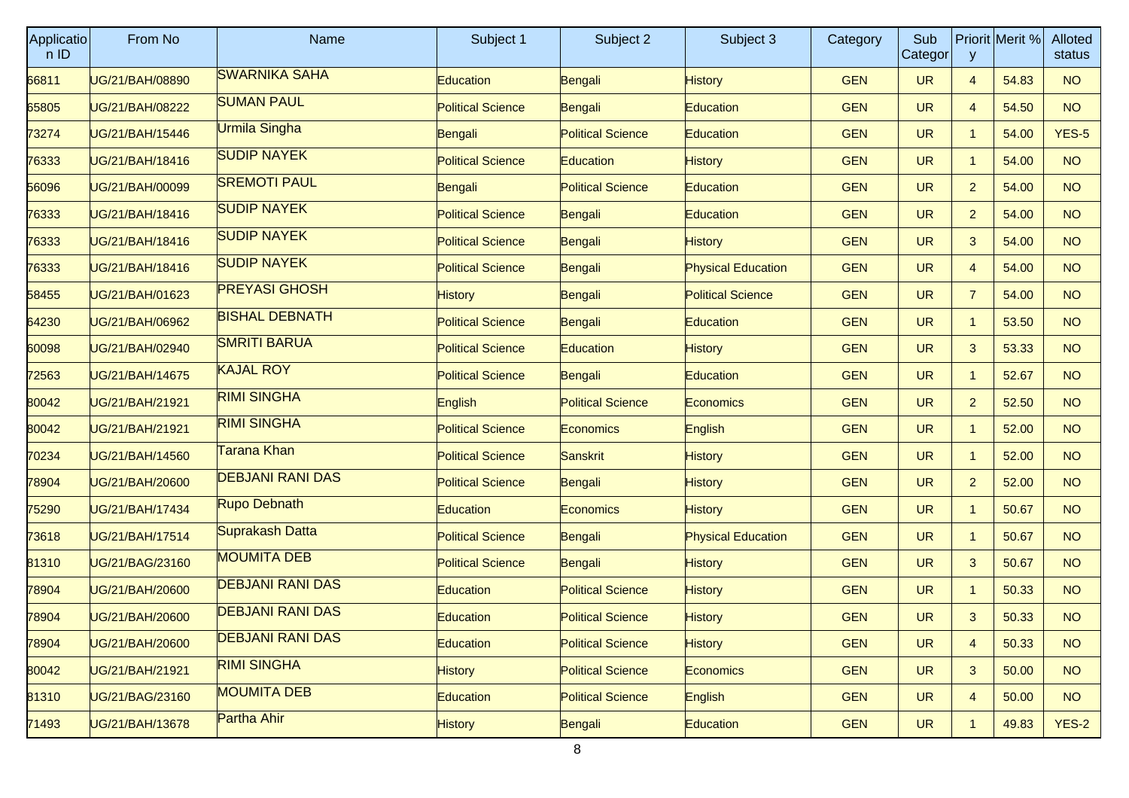| <b>Applicatio</b><br>n ID | From No         | <b>Name</b>             | Subject 1                | Subject 2                | Subject 3                 | Category   | Sub<br>Categor | y              | Priorit Merit % | Alloted<br>status |
|---------------------------|-----------------|-------------------------|--------------------------|--------------------------|---------------------------|------------|----------------|----------------|-----------------|-------------------|
| 66811                     | UG/21/BAH/08890 | <b>SWARNIKA SAHA</b>    | Education                | Bengali                  | <b>History</b>            | <b>GEN</b> | <b>UR</b>      | $\overline{4}$ | 54.83           | <b>NO</b>         |
| 65805                     | UG/21/BAH/08222 | <b>SUMAN PAUL</b>       | <b>Political Science</b> | Bengali                  | Education                 | <b>GEN</b> | <b>UR</b>      | 4              | 54.50           | <b>NO</b>         |
| 73274                     | UG/21/BAH/15446 | Urmila Singha           | Bengali                  | <b>Political Science</b> | Education                 | <b>GEN</b> | <b>UR</b>      | $\mathbf{1}$   | 54.00           | $YES-5$           |
| 76333                     | UG/21/BAH/18416 | <b>SUDIP NAYEK</b>      | <b>Political Science</b> | Education                | <b>History</b>            | <b>GEN</b> | <b>UR</b>      | $\mathbf{1}$   | 54.00           | <b>NO</b>         |
| 56096                     | UG/21/BAH/00099 | <b>SREMOTI PAUL</b>     | Bengali                  | <b>Political Science</b> | <b>Education</b>          | <b>GEN</b> | <b>UR</b>      | $\overline{2}$ | 54.00           | <b>NO</b>         |
| 76333                     | UG/21/BAH/18416 | <b>SUDIP NAYEK</b>      | <b>Political Science</b> | Bengali                  | Education                 | <b>GEN</b> | <b>UR</b>      | $\overline{2}$ | 54.00           | NO <sub>1</sub>   |
| 76333                     | UG/21/BAH/18416 | <b>SUDIP NAYEK</b>      | <b>Political Science</b> | Bengali                  | <b>History</b>            | <b>GEN</b> | <b>UR</b>      | 3              | 54.00           | <b>NO</b>         |
| 76333                     | UG/21/BAH/18416 | <b>SUDIP NAYEK</b>      | <b>Political Science</b> | Bengali                  | <b>Physical Education</b> | <b>GEN</b> | <b>UR</b>      | 4              | 54.00           | <b>NO</b>         |
| 58455                     | UG/21/BAH/01623 | <b>PREYASI GHOSH</b>    | <b>History</b>           | Bengali                  | <b>Political Science</b>  | <b>GEN</b> | <b>UR</b>      | 7              | 54.00           | NO <sub>1</sub>   |
| 64230                     | UG/21/BAH/06962 | <b>BISHAL DEBNATH</b>   | <b>Political Science</b> | Bengali                  | <b>Education</b>          | <b>GEN</b> | <b>UR</b>      | $\mathbf{1}$   | 53.50           | <b>NO</b>         |
| 60098                     | UG/21/BAH/02940 | <b>SMRITI BARUA</b>     | <b>Political Science</b> | Education                | <b>History</b>            | <b>GEN</b> | <b>UR</b>      | 3              | 53.33           | <b>NO</b>         |
| 72563                     | UG/21/BAH/14675 | <b>KAJAL ROY</b>        | <b>Political Science</b> | Bengali                  | Education                 | <b>GEN</b> | <b>UR</b>      | $\mathbf{1}$   | 52.67           | NO <sub>1</sub>   |
| 80042                     | UG/21/BAH/21921 | <b>RIMI SINGHA</b>      | English                  | <b>Political Science</b> | Economics                 | <b>GEN</b> | <b>UR</b>      | $\overline{2}$ | 52.50           | <b>NO</b>         |
| 80042                     | UG/21/BAH/21921 | <b>RIMI SINGHA</b>      | <b>Political Science</b> | <b>Economics</b>         | English                   | <b>GEN</b> | <b>UR</b>      | $\mathbf{1}$   | 52.00           | <b>NO</b>         |
| 70234                     | UG/21/BAH/14560 | Tarana Khan             | <b>Political Science</b> | Sanskrit                 | <b>History</b>            | <b>GEN</b> | <b>UR</b>      | $\mathbf{1}$   | 52.00           | NO <sub>1</sub>   |
| 78904                     | UG/21/BAH/20600 | <b>DEBJANI RANI DAS</b> | <b>Political Science</b> | Bengali                  | <b>History</b>            | <b>GEN</b> | <b>UR</b>      | $\overline{2}$ | 52.00           | <b>NO</b>         |
| 75290                     | UG/21/BAH/17434 | Rupo Debnath            | <b>Education</b>         | Economics:               | <b>History</b>            | <b>GEN</b> | <b>UR</b>      | $\mathbf{1}$   | 50.67           | <b>NO</b>         |
| 73618                     | UG/21/BAH/17514 | Suprakash Datta         | <b>Political Science</b> | Bengali                  | <b>Physical Education</b> | <b>GEN</b> | <b>UR</b>      | $\mathbf{1}$   | 50.67           | NO                |
| 81310                     | UG/21/BAG/23160 | <b>MOUMITA DEB</b>      | <b>Political Science</b> | Bengali                  | <b>History</b>            | <b>GEN</b> | <b>UR</b>      | 3              | 50.67           | <b>NO</b>         |
| 78904                     | UG/21/BAH/20600 | <b>DEBJANI RANI DAS</b> | <b>Education</b>         | <b>Political Science</b> | <b>History</b>            | <b>GEN</b> | <b>UR</b>      | $\mathbf{1}$   | 50.33           | <b>NO</b>         |
| 78904                     | UG/21/BAH/20600 | <b>DEBJANI RANI DAS</b> | Education                | <b>Political Science</b> | <b>History</b>            | <b>GEN</b> | <b>UR</b>      | 3              | 50.33           | <b>NO</b>         |
| 78904                     | UG/21/BAH/20600 | <b>DEBJANI RANI DAS</b> | Education                | <b>Political Science</b> | <b>History</b>            | <b>GEN</b> | <b>UR</b>      | $\overline{4}$ | 50.33           | <b>NO</b>         |
| 80042                     | UG/21/BAH/21921 | <b>RIMI SINGHA</b>      | <b>History</b>           | <b>Political Science</b> | <b>Economics</b>          | <b>GEN</b> | <b>UR</b>      | 3              | 50.00           | NO                |
| 81310                     | UG/21/BAG/23160 | <b>MOUMITA DEB</b>      | Education                | <b>Political Science</b> | English                   | <b>GEN</b> | <b>UR</b>      | 4              | 50.00           | NO                |
| 71493                     | UG/21/BAH/13678 | Partha Ahir             | <b>History</b>           | Bengali                  | Education                 | <b>GEN</b> | <b>UR</b>      | $\mathbf{1}$   | 49.83           | $YES-2$           |